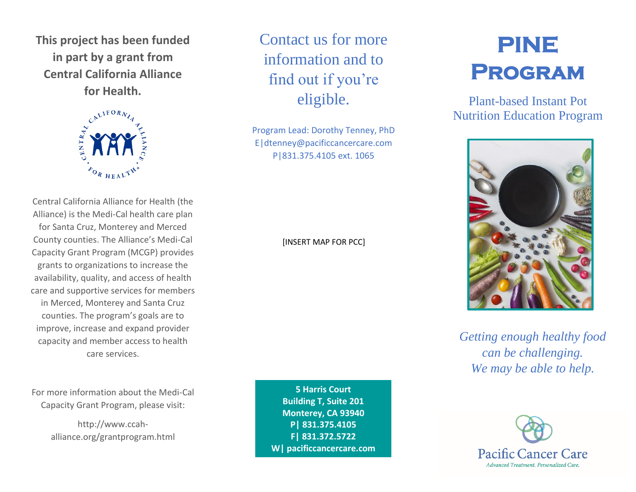**This project has been funded in part by a grant from Central California Alliance for Health.**



Central California Alliance for Health (the Alliance) is the Medi-Cal health care plan for Santa Cruz, Monterey and Merced County counties. The Alliance's Medi-Cal Capacity Grant Program (MCGP) provides grants to organizations to increase the availability, quality, and access of health care and supportive services for members in Merced, Monterey and Santa Cruz counties. The program's goals are to improve, increase and expand provider capacity and member access to health care services.

For more information about the Medi-Cal Capacity Grant Program, please visit:

> http://www.ccahalliance.org/grantprogram.html

Contact us for more information and to find out if you're eligible.

Program Lead: Dorothy Tenney, PhD E|dtenney@pacificcancercare.com P|831.375.4105 ext. 1065

#### [INSERT MAP FOR PCC]

**5 Harris Court Building T, Suite 201 Monterey, CA 93940 P| 831.375.4105 F| 831.372.5722 W| pacificcancercare.com**

# **PINE Program**

Plant-based Instant Pot Nutrition Education Program



*Getting enough healthy food can be challenging. We may be able to help.*